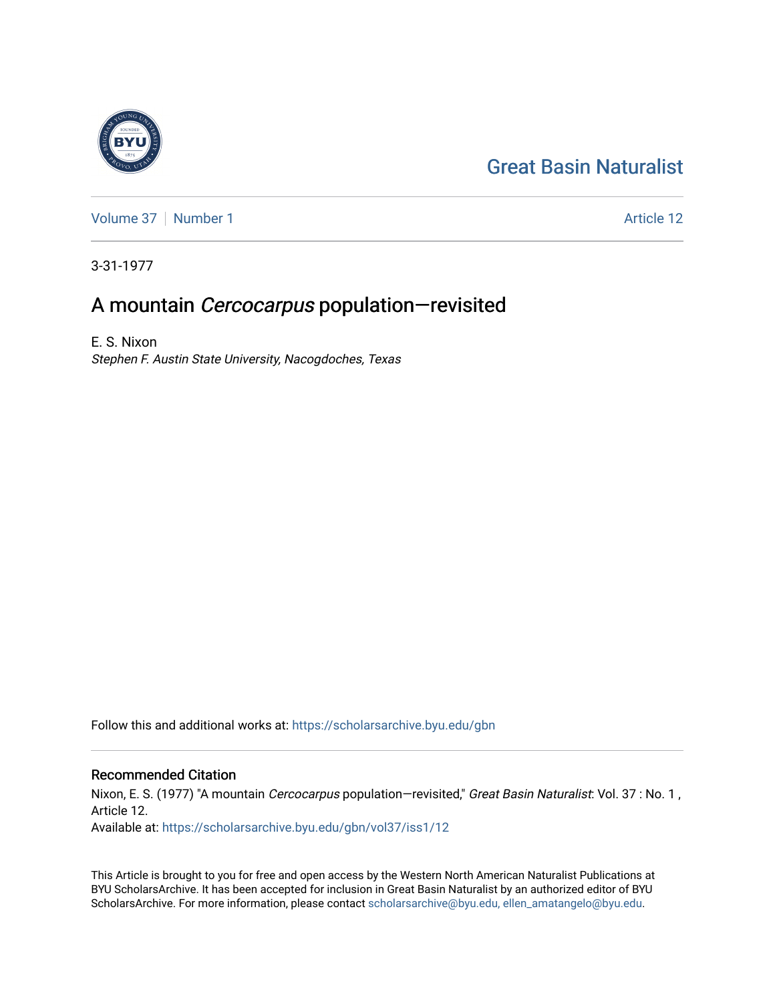# [Great Basin Naturalist](https://scholarsarchive.byu.edu/gbn)

[Volume 37](https://scholarsarchive.byu.edu/gbn/vol37) | [Number 1](https://scholarsarchive.byu.edu/gbn/vol37/iss1) Article 12

3-31-1977

# A mountain Cercocarpus population—revisited

E. S. Nixon Stephen F. Austin State University, Nacogdoches, Texas

Follow this and additional works at: [https://scholarsarchive.byu.edu/gbn](https://scholarsarchive.byu.edu/gbn?utm_source=scholarsarchive.byu.edu%2Fgbn%2Fvol37%2Fiss1%2F12&utm_medium=PDF&utm_campaign=PDFCoverPages) 

# Recommended Citation

Nixon, E. S. (1977) "A mountain Cercocarpus population-revisited," Great Basin Naturalist: Vol. 37 : No. 1, Article 12.

Available at: [https://scholarsarchive.byu.edu/gbn/vol37/iss1/12](https://scholarsarchive.byu.edu/gbn/vol37/iss1/12?utm_source=scholarsarchive.byu.edu%2Fgbn%2Fvol37%2Fiss1%2F12&utm_medium=PDF&utm_campaign=PDFCoverPages) 

This Article is brought to you for free and open access by the Western North American Naturalist Publications at BYU ScholarsArchive. It has been accepted for inclusion in Great Basin Naturalist by an authorized editor of BYU ScholarsArchive. For more information, please contact [scholarsarchive@byu.edu, ellen\\_amatangelo@byu.edu.](mailto:scholarsarchive@byu.edu,%20ellen_amatangelo@byu.edu)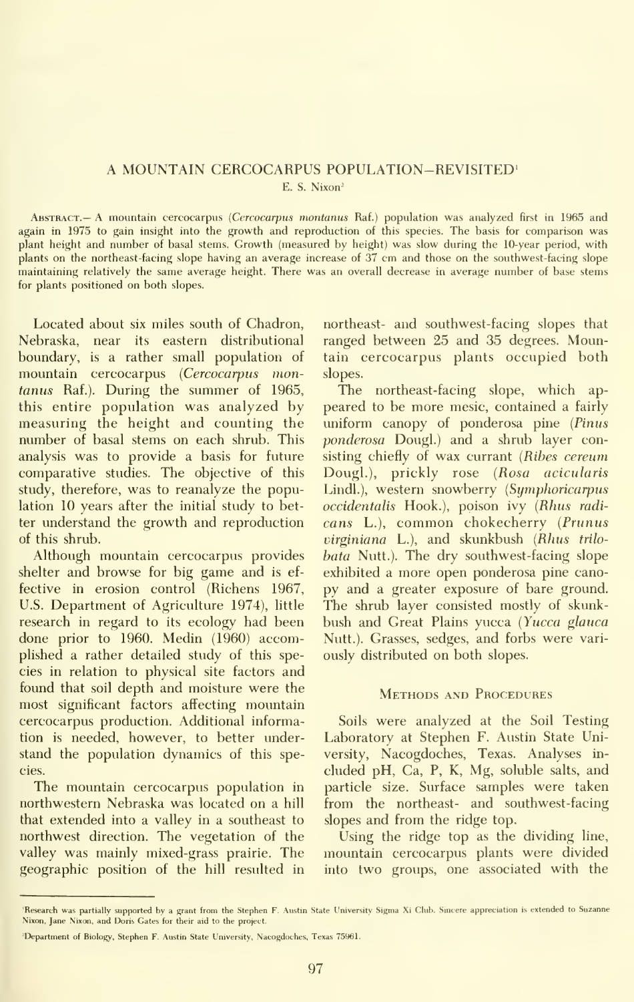# A MOUNTAIN CERCOCARPUS POPULATION-REVISITED'

E. S. Nixon'

Abstract.— a mountain cercocarpus (Cercocarpus montanus Raf.) population was analyzed first in 1965 and again in 1975 to gain insight into the growth and reproduction of this species. The basis for comparison was plant height and number of basal stems. Growth (measured by height) was slow during the 10-year period, with plants on the northeast-facing slope having an average increase of 37 cm and those on the southwest-facing slope maintaining relatively the same average height. There was an overall decrease in average number of base stems for plants positioned on both slopes.

Located about six miles south of Chadron, Nebraska, near its eastern distributional boundary, is a rather small population of mountain cercocarpus (Cercocarpus montanus Raf.). During the summer of 1965, this entire population was analyzed by measuring the height and counting the number of basal stems on each shrub. This analysis was to provide a basis for future comparative studies. The objective of this study, therefore, was to reanalyze the population 10 years after the initial study to better understand the growth and reproduction of this shrub.

Although mountain cercocarpus provides shelter and browse for big game and is ef fective in erosion control (Richens 1967, U.S. Department of Agriculture 1974), little research in regard to its ecology had been done prior to 1960. Medin (1960) accomplished a rather detailed study of this species in relation to physical site factors and found that soil depth and moisture were the most significant factors affecting mountain cercocarpus production. Additional information is needed, however, to better understand the population dynamics of this species.

The mountain cercocarpus population in northwestern Nebraska was located on a hill that extended into a valley in a southeast to northwest direction. The vegetation of the valley was mainly mixed-grass prairie. The geographic position of the hill resulted in

northeast- and southwest-facing slopes that ranged between 25 and 35 degrees. Mountain cercocarpus plants occupied both slopes.

The northeast-facing slope, which ap peared to be more mesic, contained a fairly uniform canopy of ponderosa pine (Pinus ponderosa Dougl.) and a shrub layer consisting chiefly of wax currant (Ribes cereum Dougl.), prickly rose (Rosa acicularis Lindl.), western snowberry {Symphoricarpus occidentalis Hook.), poison ivy {Rhus radi cans L.), common chokecherry {Prunus virginiana L.), and skunkbush {Rhus trilo bata Nutt.). The dry southwest-facing slope exhibited a more open ponderosa pine cano py and <sup>a</sup> greater exposure of bare ground. The shrub layer consisted mostly of skunk bush and Great Plains yucca (Yucca glauca Nutt.). Grasses, sedges, and forbs were vari ously distributed on both slopes.

# Methods and Procedures

Soils were analyzed at the Soil Testing Laboratory at Stephen F. Austin State University, Nacogdoches, Texas. Analyses in cluded pH, Ca, P, K, Mg, soluble salts, and particle size. Surface samples were taken from the northeast- and southwest-facing slopes and from the ridge top.

Using the ridge top as the dividing line, mountain cercocarpus plants were divided into two groups, one associated with the

Research was partially supported by a grant from the Stephen F. Austin State University Sigma Xi Club. Sincere appreciation is extended to Suzanne Nixon, Jane Nixon, and Doris Gates for their aid to the project.

Department of Biology, Stephen F. Austin State University, Nacogdoches, Texas 75961,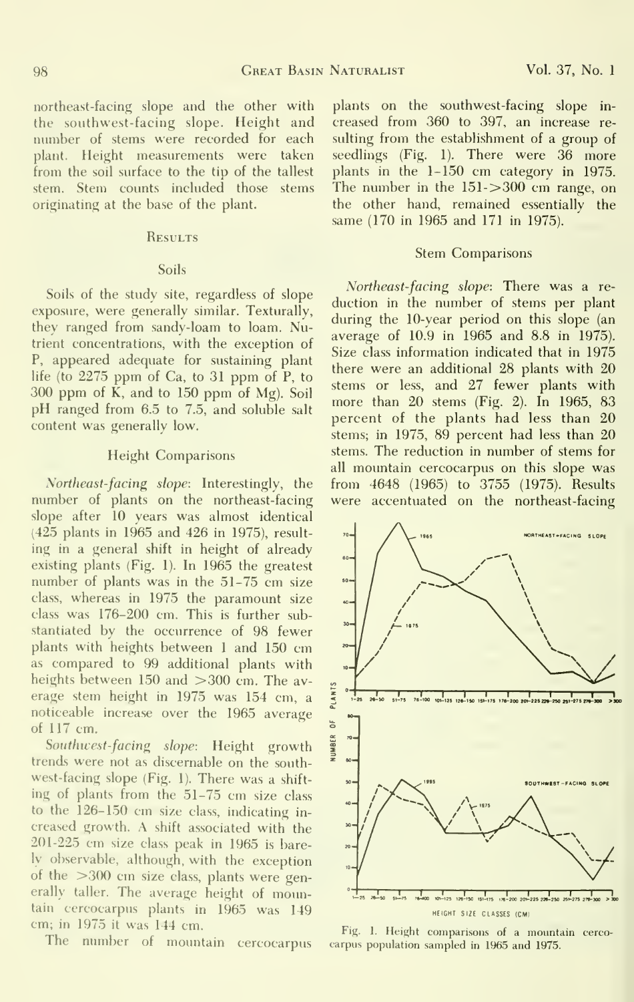northeast-facing slope and the other with the southwest-facing slope. Height and number of stems were recorded for each plant. Height measurements were taken from the soil surface to the tip of the tallest stem. Stem counts included those stems originating at the base of the plant.

### **RESULTS**

## Soils

Soils of the study site, regardless of slope exposure, were generally similar. Texturally, they ranged from sandy-loam to loam. Nutrient concentrations, with the exception of P, appeared adequate for sustaining plant life (to 2275 ppm of Ca, to 31 ppm of P, to 300 ppm of K, and to 150 ppm of Mg). Soil pH ranged from 6.5 to 7.5, and soluble salt content was generally low.

### Height Comparisons

Northeast-facing slope: Interestingly, the number of plants on the northeast-facing slope after 10 years was almost identical (425 plants in 1965 and 426 in 1975), result ing in a general shift in height of already existing plants (Fig. 1). In 1965 the greatest number of plants was in the 51-75 cm size class, whereas in 1975 the paramount size class was 176-200 cm. This is further substantiated by the occurrence of 98 fewer plants with heights between <sup>1</sup> and 150 cm as compared to 99 additional plants with heights between 150 and  $>$ 300 cm. The average stem height in 1975 was 154 cm, a erage stem height in 1975 was 154 cm, a noticeable increase over the 1965 average<br>of 117 cm.<br>Southwest-facing slope: Height growth of 117 cm.

Southwest-facing slope: Height growth trends were not as discernable on the south west-facing slope (Fig. 1). There was a shift ing of plants from the 51-75 cm size class to the 126-150 cm size class, indicating in creased growth. A shift associated with the 201-225 cm size class peak in 1965 is barely observable, although, with the exception of the  $>300$  cm size class, plants were generally taller. The average height of mountain cercocarpus plants in 1965 was 149 cm; in 1975 it was 144 cm.

The number of mountain cercocarpus

plants on the southwest-facing slope in creased from 360 to 397, an increase re sulting from the establishment of a group of seedlings (Fig. 1). There were 36 more plants in the 1-150 cm category in 1975. The number in the  $151 - >300$  cm range, on the other hand, remained essentially the same (170 in 1965 and 171 in 1975).

#### Stem Comparisons

Northeast-facing slope: There was a re duction in the number of stems per plant during the 10-year period on this slope (an average of 10.9 in 1965 and 8.8 in 1975). Size class information indicated that in 1975 there were an additional 28 plants with 20 stems or less, and 27 fewer plants with more than 20 stems (Fig. 2). In 1965, 83 percent of the plants had less than 20 stems; in 1975, 89 percent had less than 20 stems. The reduction in number of stems for all mountain cercocarpus on this slope was from 4648 (1965) to 3755 (1975). Results were accentuated on the northeast-facing



Fig. 1. Height comparisons of a mountain cerco-:arpus population sampled in 1965 and 1975.